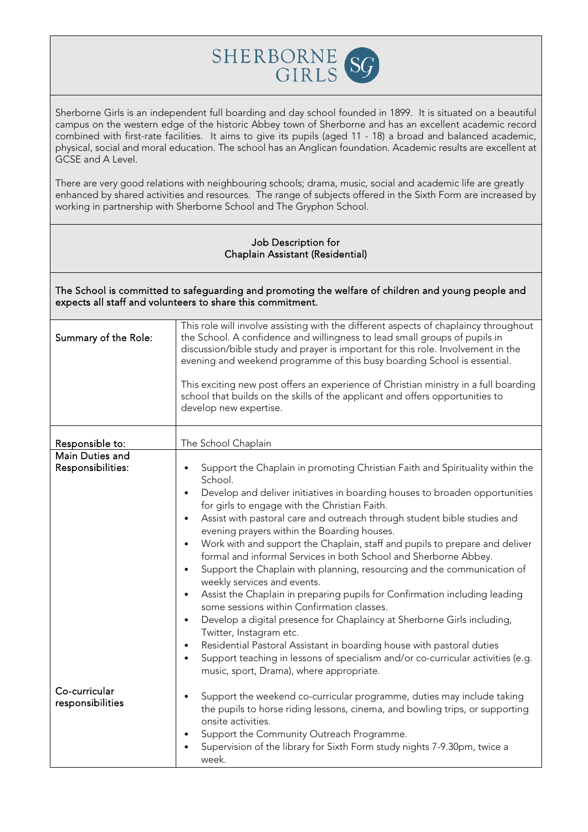

Sherborne Girls is an independent full boarding and day school founded in 1899. It is situated on a beautiful campus on the western edge of the historic Abbey town of Sherborne and has an excellent academic record combined with first-rate facilities. It aims to give its pupils (aged 11 - 18) a broad and balanced academic, physical, social and moral education. The school has an Anglican foundation. Academic results are excellent at GCSE and A Level.

There are very good relations with neighbouring schools; drama, music, social and academic life are greatly enhanced by shared activities and resources. The range of subjects offered in the Sixth Form are increased by working in partnership with Sherborne School and The Gryphon School.

## Job Description for Chaplain Assistant (Residential)

The School is committed to safeguarding and promoting the welfare of children and young people and expects all staff and volunteers to share this commitment.

| Summary of the Role: | This role will involve assisting with the different aspects of chaplaincy throughout<br>the School. A confidence and willingness to lead small groups of pupils in<br>discussion/bible study and prayer is important for this role. Involvement in the<br>evening and weekend programme of this busy boarding School is essential.<br>This exciting new post offers an experience of Christian ministry in a full boarding<br>school that builds on the skills of the applicant and offers opportunities to<br>develop new expertise. |
|----------------------|---------------------------------------------------------------------------------------------------------------------------------------------------------------------------------------------------------------------------------------------------------------------------------------------------------------------------------------------------------------------------------------------------------------------------------------------------------------------------------------------------------------------------------------|
| Responsible to:      | The School Chaplain                                                                                                                                                                                                                                                                                                                                                                                                                                                                                                                   |
| Main Duties and      |                                                                                                                                                                                                                                                                                                                                                                                                                                                                                                                                       |
| Responsibilities:    | Support the Chaplain in promoting Christian Faith and Spirituality within the<br>$\bullet$<br>School.                                                                                                                                                                                                                                                                                                                                                                                                                                 |
|                      | Develop and deliver initiatives in boarding houses to broaden opportunities<br>$\bullet$<br>for girls to engage with the Christian Faith.                                                                                                                                                                                                                                                                                                                                                                                             |
|                      | Assist with pastoral care and outreach through student bible studies and<br>$\bullet$<br>evening prayers within the Boarding houses.                                                                                                                                                                                                                                                                                                                                                                                                  |
|                      | Work with and support the Chaplain, staff and pupils to prepare and deliver<br>$\bullet$<br>formal and informal Services in both School and Sherborne Abbey.                                                                                                                                                                                                                                                                                                                                                                          |
|                      | Support the Chaplain with planning, resourcing and the communication of<br>$\bullet$<br>weekly services and events.                                                                                                                                                                                                                                                                                                                                                                                                                   |
|                      | Assist the Chaplain in preparing pupils for Confirmation including leading<br>$\bullet$<br>some sessions within Confirmation classes.                                                                                                                                                                                                                                                                                                                                                                                                 |
|                      | Develop a digital presence for Chaplaincy at Sherborne Girls including,<br>$\bullet$<br>Twitter, Instagram etc.                                                                                                                                                                                                                                                                                                                                                                                                                       |
|                      | Residential Pastoral Assistant in boarding house with pastoral duties<br>$\bullet$                                                                                                                                                                                                                                                                                                                                                                                                                                                    |
|                      | Support teaching in lessons of specialism and/or co-curricular activities (e.g.<br>$\bullet$<br>music, sport, Drama), where appropriate.                                                                                                                                                                                                                                                                                                                                                                                              |
| Co-curricular        |                                                                                                                                                                                                                                                                                                                                                                                                                                                                                                                                       |
| responsibilities     | Support the weekend co-curricular programme, duties may include taking<br>$\bullet$                                                                                                                                                                                                                                                                                                                                                                                                                                                   |
|                      | the pupils to horse riding lessons, cinema, and bowling trips, or supporting                                                                                                                                                                                                                                                                                                                                                                                                                                                          |
|                      | onsite activities.                                                                                                                                                                                                                                                                                                                                                                                                                                                                                                                    |
|                      | Support the Community Outreach Programme.<br>$\bullet$                                                                                                                                                                                                                                                                                                                                                                                                                                                                                |
|                      | Supervision of the library for Sixth Form study nights 7-9.30pm, twice a<br>week.                                                                                                                                                                                                                                                                                                                                                                                                                                                     |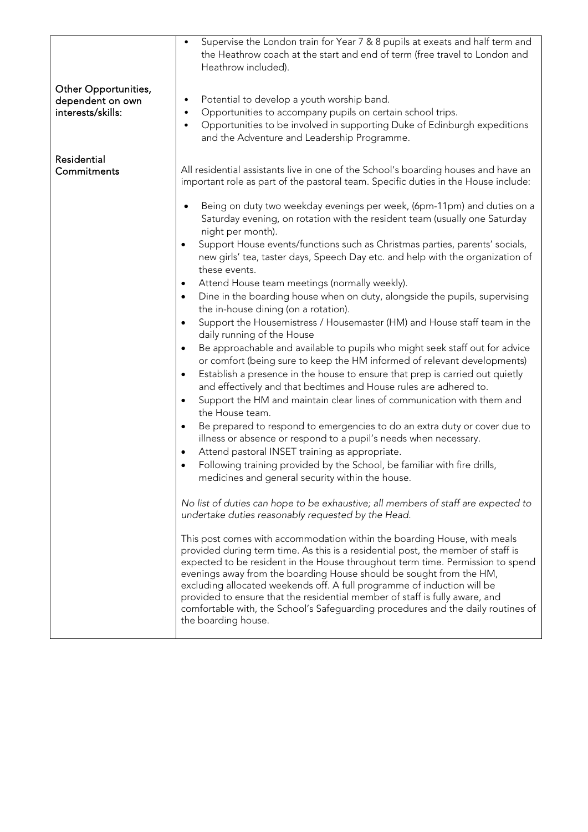|                                                               | Supervise the London train for Year 7 & 8 pupils at exeats and half term and<br>the Heathrow coach at the start and end of term (free travel to London and<br>Heathrow included).                                                                                                                                                                                                                                                                                                                                                                                                                                                                                                                                                     |  |
|---------------------------------------------------------------|---------------------------------------------------------------------------------------------------------------------------------------------------------------------------------------------------------------------------------------------------------------------------------------------------------------------------------------------------------------------------------------------------------------------------------------------------------------------------------------------------------------------------------------------------------------------------------------------------------------------------------------------------------------------------------------------------------------------------------------|--|
| Other Opportunities,<br>dependent on own<br>interests/skills: | Potential to develop a youth worship band.<br>$\bullet$<br>Opportunities to accompany pupils on certain school trips.<br>$\bullet$<br>Opportunities to be involved in supporting Duke of Edinburgh expeditions<br>$\bullet$<br>and the Adventure and Leadership Programme.                                                                                                                                                                                                                                                                                                                                                                                                                                                            |  |
| Residential<br>Commitments                                    | All residential assistants live in one of the School's boarding houses and have an<br>important role as part of the pastoral team. Specific duties in the House include:                                                                                                                                                                                                                                                                                                                                                                                                                                                                                                                                                              |  |
|                                                               | Being on duty two weekday evenings per week, (6pm-11pm) and duties on a<br>$\bullet$<br>Saturday evening, on rotation with the resident team (usually one Saturday<br>night per month).                                                                                                                                                                                                                                                                                                                                                                                                                                                                                                                                               |  |
|                                                               | Support House events/functions such as Christmas parties, parents' socials,<br>$\bullet$<br>new girls' tea, taster days, Speech Day etc. and help with the organization of<br>these events.                                                                                                                                                                                                                                                                                                                                                                                                                                                                                                                                           |  |
|                                                               | Attend House team meetings (normally weekly).<br>$\bullet$<br>Dine in the boarding house when on duty, alongside the pupils, supervising<br>$\bullet$<br>the in-house dining (on a rotation).                                                                                                                                                                                                                                                                                                                                                                                                                                                                                                                                         |  |
|                                                               | Support the Housemistress / Housemaster (HM) and House staff team in the<br>$\bullet$<br>daily running of the House                                                                                                                                                                                                                                                                                                                                                                                                                                                                                                                                                                                                                   |  |
|                                                               | Be approachable and available to pupils who might seek staff out for advice<br>$\bullet$<br>or comfort (being sure to keep the HM informed of relevant developments)<br>Establish a presence in the house to ensure that prep is carried out quietly<br>$\bullet$<br>and effectively and that bedtimes and House rules are adhered to.<br>Support the HM and maintain clear lines of communication with them and<br>$\bullet$<br>the House team.                                                                                                                                                                                                                                                                                      |  |
|                                                               | Be prepared to respond to emergencies to do an extra duty or cover due to<br>$\bullet$<br>illness or absence or respond to a pupil's needs when necessary.<br>Attend pastoral INSET training as appropriate.<br>$\bullet$                                                                                                                                                                                                                                                                                                                                                                                                                                                                                                             |  |
|                                                               | Following training provided by the School, be familiar with fire drills,<br>$\bullet$<br>medicines and general security within the house.                                                                                                                                                                                                                                                                                                                                                                                                                                                                                                                                                                                             |  |
|                                                               | No list of duties can hope to be exhaustive; all members of staff are expected to<br>undertake duties reasonably requested by the Head.<br>This post comes with accommodation within the boarding House, with meals<br>provided during term time. As this is a residential post, the member of staff is<br>expected to be resident in the House throughout term time. Permission to spend<br>evenings away from the boarding House should be sought from the HM,<br>excluding allocated weekends off. A full programme of induction will be<br>provided to ensure that the residential member of staff is fully aware, and<br>comfortable with, the School's Safeguarding procedures and the daily routines of<br>the boarding house. |  |
|                                                               |                                                                                                                                                                                                                                                                                                                                                                                                                                                                                                                                                                                                                                                                                                                                       |  |